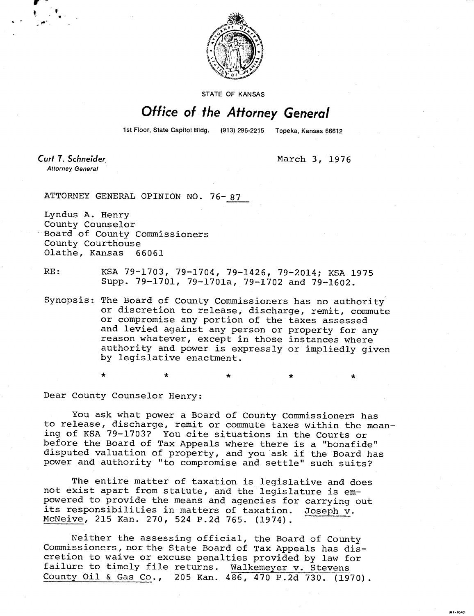

STATE OF KANSAS

## Office of the Attorney General

1st Floor, State Capitol Bldg. (913) 296-2215 Topeka, Kansas 66612

Curt T. Schneider **Attorney General** 

March 3, 1976

MI-1043

ATTORNEY GENERAL OPINION NO. 76-87

Lyndus A. Henry County Counselor Board of County Commissioners County Courthouse Olathe, Kansas 66061

## RE: KSA 79-1703, 79-1704, 79-1426, 79-2014; KSA 1975 Supp. 79-1701, 79-1701a, 79-1702 and 79-1602.

Synopsis: The Board of County Commissioners has no authority or discretion to release, discharge, remit, commute or compromise any portion of the taxes assessed and levied against any person or property for any reason whatever, except in those instances where authority and power is expressly or impliedly given by legislative enactment.

\* \*

Dear County Counselor Henry:

You ask what power a Board of County Commissioners has to release, discharge, remit or commute taxes within the meaning of KSA 79-1703? You cite situations in the Courts or before the Board of Tax Appeals where there is a "bonafide" disputed valuation of property, and you ask if the Board has power and authority "to compromise and settle" such suits?

The entire matter of taxation is legislative and does not exist apart from statute, and the legislature is empowered to provide the means and agencies for carrying out its responsibilities in matters of taxation. Joseph v. McNeive, 215 Kan. 270, 524 P.2d 765. (1974).

Neither the assessing official, the Board of County Commissioners, nor the State Board of Tax Appeals has discretion to waive or excuse penalties provided by law for failure to timely file returns. Walkemeyer v. Stevens County Oil & Gas Co., 205 Kan. 486, 470 P.2d 730. (1970).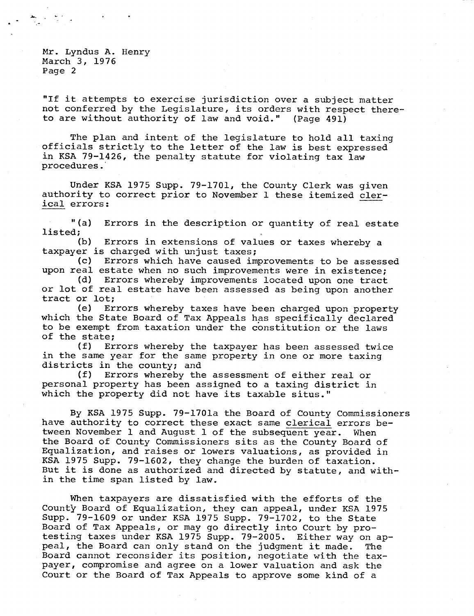Mr. Lyndus A. Henry March 3, 1976 Page 2

"If it attempts to exercise jurisdiction over a subject matter not conferred by the Legislature, its orders with respect thereto are without authority of law and void." (Page 491)

The plan and intent of the legislature to hold all taxing officials strictly to the letter of the law is best expressed in KSA 79-1426, the penalty statute for violating tax law procedures.'

Under KSA 1975 Supp. 79-1701, the County Clerk was given authority to correct prior to November 1 these itemized clerical errors:

"(a) Errors in the description or quantity of real estate listed;

(b) Errors in extensions of values or taxes whereby a taxpayer is charged with unjust taxes;

(c) Errors which have caused improvements to be assessed upon real estate when no such improvements were in existence;

(d) Errors whereby improvements located upon one tract or lot of real estate have been assessed as being upon another tract or lot;

(e) Errors whereby taxes have been charged upon property which the State Board of Tax Appeals has specifically declared to be exempt from taxation under the constitution or the laws of the state;<br>(f) Er

Errors whereby the taxpayer has been assessed twice in the same year for the same property in one or more taxing districts in the county; and

(f) Errors whereby the assessment of either real or personal property has been assigned to a taxing district in which the property did not have its taxable situs."

By KSA 1975 Supp. 79-1701a the Board of County Commissioners have authority to correct these exact same clerical errors between November 1 and August 1 of the subsequent year. When the Board of County Commissioners sits as the County Board of Equalization, and raises or lowers valuations, as provided in KSA 1975 Supp. 79-1602, they change the burden of taxation. But it is done as authorized and directed by statute, and within the time span listed by law.

When taxpayers are dissatisfied with the efforts of the County Board of Equalization, they can appeal, under KSA 1975 Supp. 79-1609 or under KSA 1975 Supp. 79-1702, to the State Board of Tax Appeals, or may go directly into Court by protesting taxes under KSA 1975 Supp. 79-2005. Either way on appeal, the Board can only stand on the judgment it made. The Board cannot reconsider its position, negotiate with the taxpayer, compromise and agree on a lower valuation and ask the Court or the Board of Tax Appeals to approve some kind of a